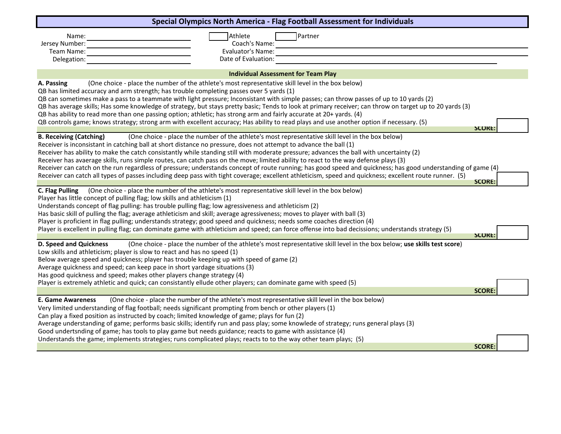| Special Olympics North America - Flag Football Assessment for Individuals                                                                                                                                                                                                                                                                                                                                                                                                                                                                                                                                                                                                                                                                                                             |               |
|---------------------------------------------------------------------------------------------------------------------------------------------------------------------------------------------------------------------------------------------------------------------------------------------------------------------------------------------------------------------------------------------------------------------------------------------------------------------------------------------------------------------------------------------------------------------------------------------------------------------------------------------------------------------------------------------------------------------------------------------------------------------------------------|---------------|
| Athlete<br>Partner<br>Name:<br>Coach's Name:<br>Jersey Number:                                                                                                                                                                                                                                                                                                                                                                                                                                                                                                                                                                                                                                                                                                                        |               |
| Evaluator's Name:<br>Team Name:<br>Date of Evaluation:<br>Delegation:                                                                                                                                                                                                                                                                                                                                                                                                                                                                                                                                                                                                                                                                                                                 |               |
| <b>Individual Assessment for Team Play</b>                                                                                                                                                                                                                                                                                                                                                                                                                                                                                                                                                                                                                                                                                                                                            |               |
| (One choice - place the number of the athlete's most representative skill level in the box below)<br>A. Passing<br>QB has limited accuracy and arm strength; has trouble completing passes over 5 yards (1)<br>QB can sometimes make a pass to a teammate with light pressure; Inconsistant with simple passes; can throw passes of up to 10 yards (2)<br>QB has average skills; Has some knowledge of strategy, but stays pretty basic; Tends to look at primary receiver; can throw on target up to 20 yards (3)<br>QB has ability to read more than one passing option; athletic; has strong arm and fairly accurate at 20+ yards. (4)<br>QB controls game; knows strategy; strong arm with excellent accuracy; Has ability to read plays and use another option if necessary. (5) |               |
|                                                                                                                                                                                                                                                                                                                                                                                                                                                                                                                                                                                                                                                                                                                                                                                       | <b>SCORE</b>  |
| <b>B. Receiving (Catching)</b><br>(One choice - place the number of the athlete's most representative skill level in the box below)<br>Receiver is inconsistant in catching ball at short distance no pressure, does not attempt to advance the ball (1)<br>Receiver has ability to make the catch consistantly while standing still with moderate pressure; advances the ball with uncertainty (2)<br>Receiver has avaerage skills, runs simple routes, can catch pass on the move; limited ability to react to the way defense plays (3)<br>Receiver can catch on the run regardless of pressure; understands concept of route running; has good speed and quickness; has good understanding of game (4)                                                                            |               |
| Receiver can catch all types of passes including deep pass with tight coverage; excellent athleticism, speed and quickness; excellent route runner. (5)                                                                                                                                                                                                                                                                                                                                                                                                                                                                                                                                                                                                                               | <b>SCORE:</b> |
| (One choice - place the number of the athlete's most representative skill level in the box below)<br>C. Flag Pulling<br>Player has little concept of pulling flag; low skills and athleticism (1)<br>Understands concept of flag pulling: has trouble pulling flag; low agressiveness and athleticism (2)<br>Has basic skill of pulling the flag; average athleticism and skill; average agressiveness; moves to player with ball (3)<br>Player is proficient in flag pulling; understands strategy; good speed and quickness; needs some coaches direction (4)                                                                                                                                                                                                                       |               |
| Player is excellent in pulling flag; can dominate game with athleticism and speed; can force offense into bad decissions; understands strategy (5)                                                                                                                                                                                                                                                                                                                                                                                                                                                                                                                                                                                                                                    | <b>SCORE</b>  |
| <b>D. Speed and Quickness</b><br>(One choice - place the number of the athlete's most representative skill level in the box below; use skills test score)<br>Low skills and athleticism; player is slow to react and has no speed (1)<br>Below average speed and quickness; player has trouble keeping up with speed of game (2)<br>Average quickness and speed; can keep pace in short yardage situations (3)<br>Has good quickness and speed; makes other players change strategy (4)                                                                                                                                                                                                                                                                                               |               |
| Player is extremely athletic and quick; can consistantly ellude other players; can dominate game with speed (5)                                                                                                                                                                                                                                                                                                                                                                                                                                                                                                                                                                                                                                                                       | <b>SCORE</b>  |
| (One choice - place the number of the athlete's most representative skill level in the box below)<br><b>E. Game Awareness</b><br>Very limited understanding of flag football; needs significant prompting from bench or other players (1)<br>Can play a fixed position as instructed by coach; limited knowledge of game; plays for fun (2)<br>Average understanding of game; performs basic skills; identify run and pass play; some knowlede of strategy; runs general plays (3)<br>Good undertsnding of game; has tools to play game but needs guidance; reacts to game with assistance (4)                                                                                                                                                                                        |               |
| Understands the game; implements strategies; runs complicated plays; reacts to to the way other team plays; (5)                                                                                                                                                                                                                                                                                                                                                                                                                                                                                                                                                                                                                                                                       | <b>SCORE</b>  |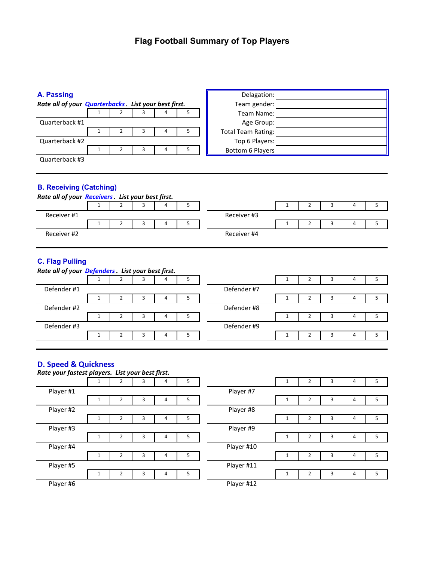## **Flag Football Summary of Top Players**

| A. Passing                                                                          |   |   |   |    | Delagation:               |  |   |   |   |   |  |
|-------------------------------------------------------------------------------------|---|---|---|----|---------------------------|--|---|---|---|---|--|
| Rate all of your <b>Quarterbacks</b> . List your best first.                        |   |   |   |    | Team gender:              |  |   |   |   |   |  |
|                                                                                     |   |   |   | 5  | Team Name:                |  |   |   |   |   |  |
| Quarterback #1                                                                      |   |   |   |    | Age Group:                |  |   |   |   |   |  |
|                                                                                     |   | 3 |   | 5. | <b>Total Team Rating:</b> |  |   |   |   |   |  |
| Quarterback #2                                                                      |   |   |   |    | Top 6 Players:            |  |   |   |   |   |  |
|                                                                                     | 2 | 3 | 4 | 5  | <b>Bottom 6 Players</b>   |  |   |   |   |   |  |
| Quarterback #3                                                                      |   |   |   |    |                           |  |   |   |   |   |  |
| <b>B. Receiving (Catching)</b><br>Rate all of your Receivers. List your best first. |   |   |   |    |                           |  |   |   |   |   |  |
|                                                                                     |   |   | 4 | 5  |                           |  | 2 | 3 | 4 | 5 |  |
| Receiver #1                                                                         |   |   |   |    | Receiver #3               |  |   |   |   |   |  |
|                                                                                     |   |   | 4 | 5  |                           |  |   | 3 | 4 | 5 |  |
| Receiver #2                                                                         |   |   |   |    | Receiver #4               |  |   |   |   |   |  |

## **C. Flag Pulling**

| Rate all of your Defenders. List your best first. |  |  |  |   |  |             |  |  |  |  |  |  |
|---------------------------------------------------|--|--|--|---|--|-------------|--|--|--|--|--|--|
|                                                   |  |  |  | 4 |  |             |  |  |  |  |  |  |
| Defender #1                                       |  |  |  |   |  | Defender #7 |  |  |  |  |  |  |
|                                                   |  |  |  | 4 |  |             |  |  |  |  |  |  |
| Defender #2                                       |  |  |  |   |  | Defender #8 |  |  |  |  |  |  |
|                                                   |  |  |  | 4 |  |             |  |  |  |  |  |  |
| Defender #3                                       |  |  |  |   |  | Defender #9 |  |  |  |  |  |  |
|                                                   |  |  |  | 4 |  |             |  |  |  |  |  |  |
|                                                   |  |  |  |   |  |             |  |  |  |  |  |  |

## **D. Speed & Quickness**

| Rate your fastest players. List your best first. |   |   |   |   |   |            |   |                |   |   |   |
|--------------------------------------------------|---|---|---|---|---|------------|---|----------------|---|---|---|
|                                                  |   | 2 | 3 | 4 | 5 |            |   | 2              | 3 | 4 | 5 |
| Player #1                                        |   |   |   |   |   | Player #7  |   |                |   |   |   |
|                                                  |   |   | э | 4 | כ |            |   |                | 3 | 4 |   |
| Player #2                                        |   |   |   |   |   | Player #8  |   |                |   |   |   |
|                                                  |   | 2 | 3 | 4 | 5 |            |   | $\overline{2}$ | 3 | 4 | 5 |
| Player #3                                        |   |   |   |   |   | Player #9  |   |                |   |   |   |
|                                                  |   | 2 | 3 | 4 | 5 |            |   |                | 3 | 4 | 5 |
| Player #4                                        |   |   |   |   |   | Player #10 |   |                |   |   |   |
|                                                  |   | 2 | 3 | 4 | 5 |            | Ŧ | 2              | 3 | 4 | 5 |
| Player #5                                        |   |   |   |   |   | Player #11 |   |                |   |   |   |
|                                                  | 1 | 2 | 3 | 4 | 5 |            | Ŧ | 2              | 3 | 4 | 5 |
| Player #6                                        |   |   |   |   |   | Player #12 |   |                |   |   |   |